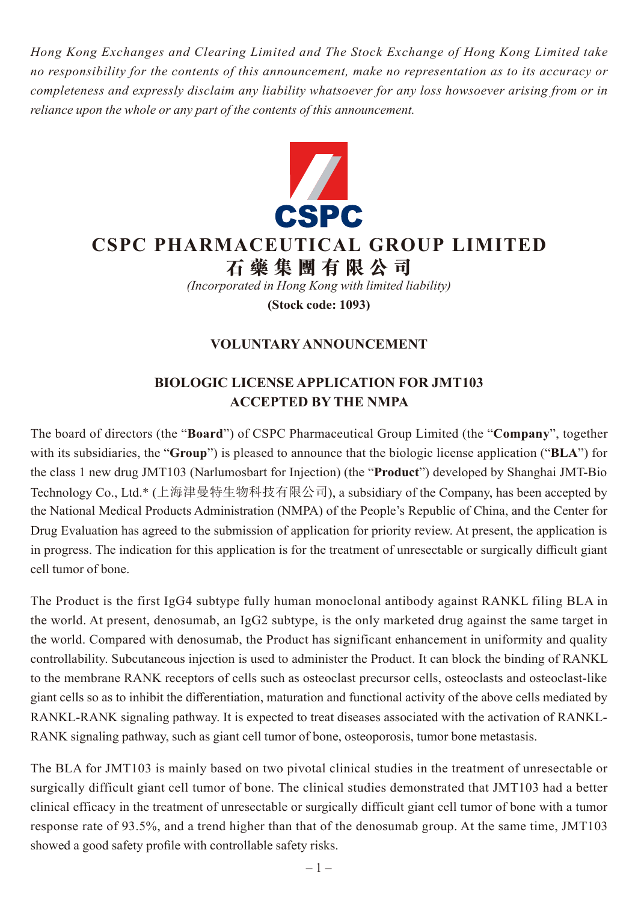*Hong Kong Exchanges and Clearing Limited and The Stock Exchange of Hong Kong Limited take no responsibility for the contents of this announcement, make no representation as to its accuracy or completeness and expressly disclaim any liability whatsoever for any loss howsoever arising from or in reliance upon the whole or any part of the contents of this announcement.*



## **CSPC PHARMACEUTICAL GROUP LIMITED**

**石藥集團 有 限公司**

*(Incorporated in Hong Kong with limited liability)*

**(Stock code: 1093)**

## **VOLUNTARY ANNOUNCEMENT**

## **BIOLOGIC LICENSE APPLICATION FOR JMT103 ACCEPTED BY THE NMPA**

The board of directors (the "**Board**") of CSPC Pharmaceutical Group Limited (the "**Company**", together with its subsidiaries, the "**Group**") is pleased to announce that the biologic license application ("**BLA**") for the class 1 new drug JMT103 (Narlumosbart for Injection) (the "**Product**") developed by Shanghai JMT-Bio Technology Co., Ltd.\* (上海津曼特生物科技有限公司), a subsidiary of the Company, has been accepted by the National Medical Products Administration (NMPA) of the People's Republic of China, and the Center for Drug Evaluation has agreed to the submission of application for priority review. At present, the application is in progress. The indication for this application is for the treatment of unresectable or surgically difficult giant cell tumor of bone.

The Product is the first IgG4 subtype fully human monoclonal antibody against RANKL filing BLA in the world. At present, denosumab, an IgG2 subtype, is the only marketed drug against the same target in the world. Compared with denosumab, the Product has significant enhancement in uniformity and quality controllability. Subcutaneous injection is used to administer the Product. It can block the binding of RANKL to the membrane RANK receptors of cells such as osteoclast precursor cells, osteoclasts and osteoclast-like giant cells so as to inhibit the differentiation, maturation and functional activity of the above cells mediated by RANKL-RANK signaling pathway. It is expected to treat diseases associated with the activation of RANKL-RANK signaling pathway, such as giant cell tumor of bone, osteoporosis, tumor bone metastasis.

The BLA for JMT103 is mainly based on two pivotal clinical studies in the treatment of unresectable or surgically difficult giant cell tumor of bone. The clinical studies demonstrated that JMT103 had a better clinical efficacy in the treatment of unresectable or surgically difficult giant cell tumor of bone with a tumor response rate of 93.5%, and a trend higher than that of the denosumab group. At the same time, JMT103 showed a good safety profile with controllable safety risks.